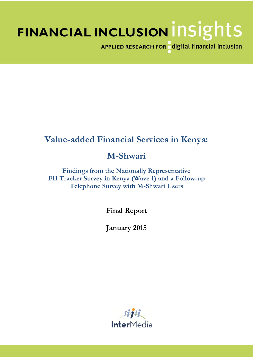# FINANCIAL INCLUSION INSIGHTS

APPLIED RESEARCH FOR digital financial inclusion

# **Value-added Financial Services in Kenya:**

## **M-Shwari**

**Findings from the Nationally Representative FII Tracker Survey in Kenya (Wave 1) and a Follow-up Telephone Survey with M-Shwari Users**

**Final Report**

**January 2015**

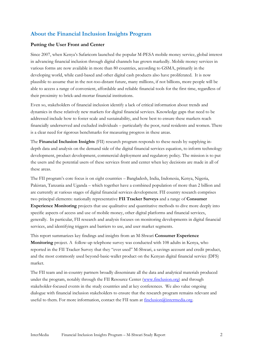## **About the Financial Inclusion Insights Program**

#### **Putting the User Front and Center**

Since 2007, when Kenya's Safaricom launched the popular M-PESA mobile money service, global interest in advancing financial inclusion through digital channels has grown markedly. Mobile money services in various forms are now available in more than 80 countries, according to GSMA, primarily in the developing world, while card-based and other digital cash products also have proliferated. It is now plausible to assume that in the not-too-distant future, many millions, if not billions, more people will be able to access a range of convenient, affordable and reliable financial tools for the first time, regardless of their proximity to brick-and-mortar financial institutions.

Even so, stakeholders of financial inclusion identify a lack of critical information about trends and dynamics in these relatively new markets for digital financial services. Knowledge gaps that need to be addressed include how to foster scale and sustainability, and how best to ensure these markets reach financially underserved and excluded individuals – particularly the poor, rural residents and women. There is a clear need for rigorous benchmarks for measuring progress in these areas.

The **Financial Inclusion Insights** (FII) research program responds to these needs by supplying indepth data and analysis on the demand side of the digital financial services equation, to inform technology development, product development, commercial deployment and regulatory policy. The mission is to put the users and the potential users of these services front and center when key decisions are made in all of these areas.

The FII program's core focus is on eight countries – Bangladesh, India, Indonesia, Kenya, Nigeria, Pakistan, Tanzania and Uganda – which together have a combined population of more than 2 billion and are currently at various stages of digital financial services development. FII country research comprises two principal elements: nationally representative **FII Tracker Surveys** and a range of **Consumer Experience Monitoring** projects that use qualitative and quantitative methods to dive more deeply into specific aspects of access and use of mobile money, other digital platforms and financial services, generally. In particular, FII research and analysis focuses on monitoring developments in digital financial services, and identifying triggers and barriers to use, and user market segments.

This report summarizes key findings and insights from an M-Shwari **Consumer Experience Monitoring** project. A follow-up telephone survey was conducted with 108 adults in Kenya, who reported in the FII Tracker Survey that they "ever used" M-Shwari, a savings account and credit product, and the most commonly used beyond-basic-wallet product on the Kenyan digital financial service (DFS) market.

The FII team and in-country partners broadly disseminate all the data and analytical materials produced under the program, notably through the FII Resource Center [\(www.finclusion.org\)](http://www.finclusion.org/) and through stakeholder-focused events in the study countries and at key conferences. We also value ongoing dialogue with financial inclusion stakeholders to ensure that the research program remains relevant and useful to them. For more information, contact the FII team at [finclusion@intermedia.org.](mailto:finclusion@intermedia.org)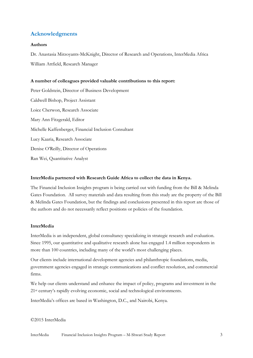## **Acknowledgments**

#### **Authors**

Dr. Anastasia Mirzoyants-McKnight, Director of Research and Operations, InterMedia Africa William Attfield, Research Manager

#### **A number of colleagues provided valuable contributions to this report:**

Peter Goldstein, Director of Business Development Caldwell Bishop, Project Assistant Loice Cherwon, Research Associate Mary Ann Fitzgerald, Editor Michelle Kaffenberger, Financial Inclusion Consultant Lucy Kaaria, Research Associate Denise O'Reilly, Director of Operations Ran Wei, Quantitative Analyst

#### **InterMedia partnered with Research Guide Africa to collect the data in Kenya.**

The Financial Inclusion Insights program is being carried out with funding from the Bill & Melinda Gates Foundation. All survey materials and data resulting from this study are the property of the Bill & Melinda Gates Foundation, but the findings and conclusions presented in this report are those of the authors and do not necessarily reflect positions or policies of the foundation.

#### **InterMedia**

InterMedia is an independent, global consultancy specializing in strategic research and evaluation. Since 1995, our quantitative and qualitative research alone has engaged 1.4 million respondents in more than 100 countries, including many of the world's most challenging places.

Our clients include international development agencies and philanthropic foundations, media, government agencies engaged in strategic communications and conflict resolution, and commercial firms.

We help our clients understand and enhance the impact of policy, programs and investment in the 21<sup>st</sup> century's rapidly evolving economic, social and technological environments.

InterMedia's offices are based in Washington, D.C., and Nairobi, Kenya.

©2015 InterMedia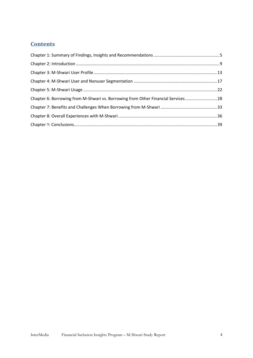## **Contents**

| Chapter 6: Borrowing from M-Shwari vs. Borrowing from Other Financial Services 28 |  |
|-----------------------------------------------------------------------------------|--|
|                                                                                   |  |
|                                                                                   |  |
|                                                                                   |  |
|                                                                                   |  |
|                                                                                   |  |
|                                                                                   |  |
|                                                                                   |  |
|                                                                                   |  |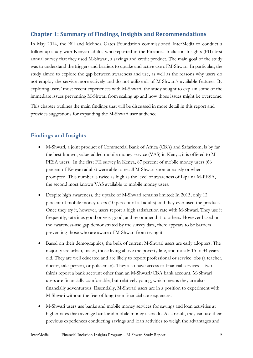## <span id="page-4-0"></span>**Chapter 1: Summary of Findings, Insights and Recommendations**

In May 2014, the Bill and Melinda Gates Foundation commissioned InterMedia to conduct a follow-up study with Kenyan adults, who reported in the Financial Inclusion Insights (FII) first annual survey that they used M-Shwari, a savings and credit product. The main goal of the study was to understand the triggers and barriers to uptake and active use of M-Shwari. In particular, the study aimed to explore the gap between awareness and use, as well as the reasons why users do not employ the service more actively and do not utilize all of M-Shwari's available features. By exploring users' most recent experiences with M-Shwari, the study sought to explain some of the immediate issues preventing M-Shwari from scaling up and how those issues might be overcome.

This chapter outlines the main findings that will be discussed in more detail in this report and provides suggestions for expanding the M-Shwari user audience.

## **Findings and Insights**

- M-Shwari, a joint product of Commercial Bank of Africa (CBA) and Safaricom, is by far the best-known, value-added mobile money service (VAS) in Kenya; it is offered to M-PESA users. In the first FII survey in Kenya, 87 percent of mobile money users (66 percent of Kenyan adults) were able to recall M-Shwari spontaneously or when prompted. This number is twice as high as the level of awareness of Lipa na M-PESA, the second most known VAS available to mobile money users.
- Despite high awareness, the uptake of M-Shwari remains limited: In 2013, only 12 percent of mobile money users (10 percent of all adults) said they ever used the product. Once they try it, however, users report a high satisfaction rate with M-Shwari. They use it frequently, rate it as good or very good, and recommend it to others. However based on the awareness-use gap demonstrated by the survey data, there appears to be barriers preventing those who are aware of M-Shwari from trying it.
- Based on their demographics, the bulk of current M-Shwari users are early adopters. The majority are urban, males, those living above the poverty line, and mostly 15 to 34 years old. They are well educated and are likely to report professional or service jobs (a teacher, doctor, salesperson, or policeman). They also have access to financial services -- twothirds report a bank account other than an M-Shwari/CBA bank account. M-Shwari users are financially comfortable, but relatively young, which means they are also financially adventurous. Essentially, M-Shwari users are in a position to experiment with M-Shwari without the fear of long-term financial consequences.
- M-Shwari users use banks and mobile money services for savings and loan activities at higher rates than average bank and mobile money users do. As a result, they can use their previous experiences conducting savings and loan activities to weigh the advantages and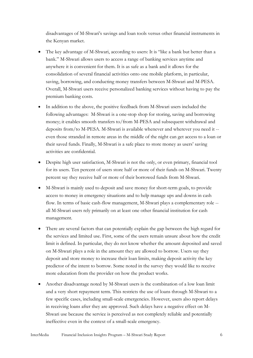disadvantages of M-Shwari's savings and loan tools versus other financial instruments in the Kenyan market.

- The key advantage of M-Shwari, according to users: It is "like a bank but better than a bank." M-Shwari allows users to access a range of banking services anytime and anywhere it is convenient for them. It is as safe as a bank and it allows for the consolidation of several financial activities onto one mobile platform, in particular, saving, borrowing, and conducting money transfers between M-Shwari and M-PESA. Overall, M-Shwari users receive personalized banking services without having to pay the premium banking costs.
- In addition to the above, the positive feedback from M-Shwari users included the following advantages: M-Shwari is a one-stop shop for storing, saving and borrowing money; it enables smooth transfers to/from M-PESA and subsequent withdrawal and deposits from/to M-PESA. M-Shwari is available whenever and wherever you need it - even those stranded in remote areas in the middle of the night can get access to a loan or their saved funds. Finally, M-Shwari is a safe place to store money as users' saving activities are confidential.
- Despite high user satisfaction, M-Shwari is not the only, or even primary, financial tool for its users. Ten percent of users store half or more of their funds on M-Shwari. Twenty percent say they receive half or more of their borrowed funds from M-Shwari.
- M-Shwari is mainly used to deposit and save money for short-term goals, to provide access to money in emergency situations and to help manage ups and downs in cash flow. In terms of basic cash-flow management, M-Shwari plays a complementary role - all M-Shwari users rely primarily on at least one other financial institution for cash management.
- There are several factors that can potentially explain the gap between the high regard for the services and limited use. First, some of the users remain unsure about how the credit limit is defined. In particular, they do not know whether the amount deposited and saved on M-Shwari plays a role in the amount they are allowed to borrow. Users say they deposit and store money to increase their loan limits, making deposit activity the key predictor of the intent to borrow. Some noted in the survey they would like to receive more education from the provider on how the product works.
- Another disadvantage noted by M-Shwari users is the combination of a low loan limit and a very short repayment term. This restricts the use of loans through M-Shwari to a few specific cases, including small-scale emergencies. However, users also report delays in receiving loans after they are approved. Such delays have a negative effect on M-Shwari use because the service is perceived as not completely reliable and potentially ineffective even in the context of a small-scale emergency.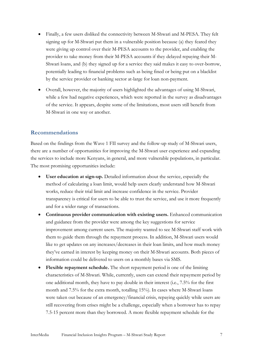- Finally, a few users disliked the connectivity between M-Shwari and M-PESA. They felt signing up for M-Shwari put them in a vulnerable position because (a) they feared they were giving up control over their M-PESA accounts to the provider, and enabling the provider to take money from their M-PESA accounts if they delayed repaying their M-Shwari loans, and (b) they signed up for a service they said makes it easy to over-borrow, potentially leading to financial problems such as being fined or being put on a blacklist by the service provider or banking sector at-large for loan non-payment.
- Overall, however, the majority of users highlighted the advantages of using M-Shwari, while a few had negative experiences, which were reported in the survey as disadvantages of the service. It appears, despite some of the limitations, most users still benefit from M-Shwari in one way or another.

#### **Recommendations**

Based on the findings from the Wave 1 FII survey and the follow-up study of M-Shwari users, there are a number of opportunities for improving the M-Shwari user experience and expanding the services to include more Kenyans, in general, and more vulnerable populations, in particular. The most promising opportunities include:

- **User education at sign-up.** Detailed information about the service, especially the method of calculating a loan limit, would help users clearly understand how M-Shwari works, reduce their trial limit and increase confidence in the service. Provider transparency is critical for users to be able to trust the service, and use it more frequently and for a wider range of transactions.
- **Continuous provider communication with existing users.** Enhanced communication and guidance from the provider were among the key suggestions for service improvement among current users. The majority wanted to see M-Shwari staff work with them to guide them through the repayment process. In addition, M-Shwari users would like to get updates on any increases/decreases in their loan limits, and how much money they've earned in interest by keeping money on their M-Shwari accounts. Both pieces of information could be delivered to users on a monthly bases via SMS.
- **Flexible repayment schedule.** The short repayment period is one of the limiting characteristics of M-Shwari. While, currently, users can extend their repayment period by one additional month, they have to pay double in their interest (i.e., 7.5% for the first month and 7.5% for the extra month, totalling 15%). In cases where M-Shwari loans were taken out because of an emergency/financial crisis, repaying quickly while users are still recovering from crises might be a challenge, especially when a borrower has to repay 7.5-15 percent more than they borrowed. A more flexible repayment schedule for the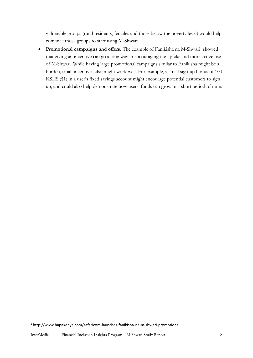vulnerable groups (rural residents, females and those below the poverty level) would help convince those groups to start using M-Shwari.

• Promotional campaigns and offers. The example of Fanikisha na M-Shwari<sup>1</sup> showed that giving an incentive can go a long way in encouraging the uptake and more active use of M-Shwari. While having large promotional campaigns similar to Fanikisha might be a burden, small incentives also might work well. For example, a small sign-up bonus of 100 KSHS (\$1) in a user's fixed savings account might encourage potential customers to sign up, and could also help demonstrate how users' funds can grow in a short period of time.

**.** 

<sup>1</sup> http://www.hapakenya.com/safaricom-launches-fanikisha-na-m-shwari-promotion/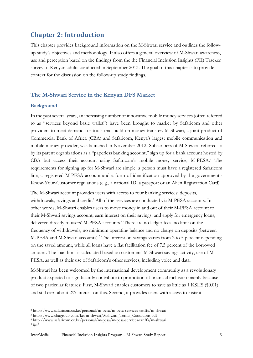## <span id="page-8-0"></span>**Chapter 2: Introduction**

This chapter provides background information on the M-Shwari service and outlines the followup study's objectives and methodology. It also offers a general overview of M-Shwari awareness, use and perception based on the findings from the the Financial Inclusion Insights (FII) Tracker survey of Kenyan adults conducted in September 2013. The goal of this chapter is to provide context for the discussion on the follow-up study findings.

#### **The M-Shwari Service in the Kenyan DFS Market**

#### **Background**

1

In the past several years, an increasing number of innovative mobile money services (often referred to as "services beyond basic wallet") have been brought to market by Safaricom and other providers to meet demand for tools that build on money transfer. M-Shwari, a joint product of Commercial Bank of Africa (CBA) and Safaricom, Kenya's largest mobile communication and mobile money provider, was launched in November 2012. Subscribers of M-Shwari, referred to by its parent organizations as a "paperless banking account," sign up for a bank account hosted by CBA but access their account using Safaricom's mobile money service, M-PESA.<sup>2</sup> The requirements for signing up for M-Shwari are simple: a person must have a registered Safaricom line, a registered M-PESA account and a form of identification approved by the government's Know-Your-Customer regulations (e.g., a national ID, a passport or an Alien Registration Card).

The M-Shwari account provides users with access to four banking services: deposits, withdrawals, savings and credit.<sup>3</sup> All of the services are conducted via M-PESA accounts. In other words, M-Shwari enables users to move money in and out of their M-PESA account to their M-Shwari savings account, earn interest on their savings, and apply for emergency loans, delivered directly to users' M-PESA accounts.<sup>4</sup> There are no ledger fees, no limit on the frequency of withdrawals, no minimum operating balance and no charge on deposits (between M-PESA and M-Shwari accounts).<sup>5</sup> The interest on savings varies from 2 to 5 percent depending on the saved amount, while all loans have a flat facilitation fee of 7.5 percent of the borrowed amount. The loan limit is calculated based on customers' M-Shwari savings activity, use of M-PESA, as well as their use of Safaricom's other services, including voice and data.

M-Shwari has been welcomed by the international development community as a revolutionary product expected to significantly contribute to promotion of financial inclusion mainly because of two particular features: First, M-Shwari enables customers to save as little as 1 KSHS (\$0.01) and still earn about 2% interest on this. Second, it provides users with access to instant

<sup>2</sup> http://www.safaricom.co.ke/personal/m-pesa/m-pesa-services-tariffs/m-shwari

<sup>3</sup> http://www.cbagroup.com/ke/m-shwari/Mshwari\_Terms\_Conditions.pdf

<sup>4</sup> http://www.safaricom.co.ke/personal/m-pesa/m-pesa-services-tariffs/m-shwari 5 i*bid*.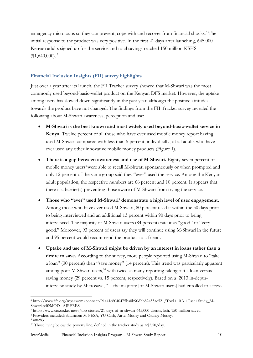emergency microloans so they can prevent, cope with and recover from financial shocks.<sup>6</sup> The initial response to the product was very positive. In the first 21 days after launching, 645,000 Kenyan adults signed up for the service and total savings reached 150 million KSHS  $$1,640,000$ ).<sup>7</sup>

#### **Financial Inclusion Insights (FII) survey highlights**

Just over a year after its launch, the FII Tracker survey showed that M-Shwari was the most commonly used beyond-basic-wallet product on the Kenyan DFS market. However, the uptake among users has slowed down significantly in the past year, although the positive attitudes towards the product have not changed. The findings from the FII Tracker survey revealed the following about M-Shwari awareness, perception and use:

- **M-Shwari is the best known and most widely used beyond-basic-wallet service in Kenya.** Twelve percent of all those who have ever used mobile money report having used M-Shwari compared with less than 5 percent, individually, of all adults who have ever used any other innovative mobile money products (Figure 1).
- **There is a gap between awareness and use of M-Shwari.** Eighty-seven percent of mobile money users<sup>8</sup> were able to recall M-Shwari spontaneously or when prompted and only 12 percent of the same group said they "ever" used the service. Among the Kenyan adult population, the respective numbers are 66 percent and 10 percent. It appears that there is a barrier(s) preventing those aware of M-Shwari from trying the service.
- **Those who "ever" used M-Shwari<sup>9</sup> demonstrate a high level of user engagement.** Among those who have ever used M-Shwari, 80 percent used it within the 30 days prior to being interviewed and an additional 13 percent within 90 days prior to being interviewed. The majority of M-Shwari users (84 percent) rate it as "good" or "very good." Moreover, 93 percent of users say they will continue using M-Shwari in the future and 95 percent would recommend the product to a friend.
- **Uptake and use of M-Shwari might be driven by an interest in loans rather than a**  desire to save. According to the survey, more people reported using M-Shwari to "take a loan" (30 percent) than "save money" (14 percent). This trend was particularly apparent among poor M-Shwari users,<sup>10</sup> with twice as many reporting taking out a loan versus saving money (29 percent vs. 15 percent, respectively). Based on a 2013 in-depthinterview study by Microsave, "…the majority [of M-Shwari users] had enrolled to access

<sup>8</sup> Providers included: Safaricom M-PESA, YU Cash, Airtel Money and Orange Money.

1

 $6$  http://www.ifc.org/wps/wcm/connect/91a41e8040475ba0b90dbb82455ae521/Tool+10.3.+Case+Study\_M-Shwari.pdf?MOD=AJPERES

<sup>7</sup> http://www.cio.co.ke/news/top-stories/21-days-of-m-shwari-645,000-clients,-ksh.-150-million-saved

 $9 n = 283$ 

<sup>&</sup>lt;sup>10</sup> Those living below the poverty line, defined in the tracker study as  $\frac{\$2.50}{day}$ .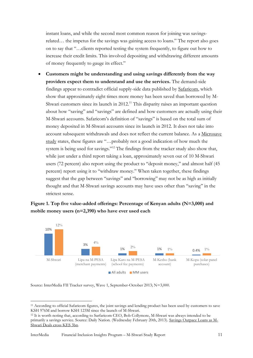instant loans, and while the second most common reason for joining was savingsrelated… the impetus for the savings was gaining access to loans." The report also goes on to say that "…clients reported testing the system frequently, to figure out how to increase their credit limits. This involved depositing and withdrawing different amounts of money frequently to gauge its effect."

 **Customers might be understanding and using savings differently from the way providers expect them to understand and use the services.** The demand-side findings appear to contradict official supply-side data published by [Safaricom,](http://www.safaricom.co.ke/images/Downloads/m-shwari_info.pdf) which show that approximately eight times more money has been saved than borrowed by M-Shwari customers since its launch in 2012.<sup>11</sup> This disparity raises an important question about how "saving" and "savings" are defined and how customers are actually using their M-Shwari accounts. Safaricom's definition of "savings" is based on the total sum of money deposited in M-Shwari accounts since its launch in 2012. It does not take into account subsequent withdrawals and does not reflect the current balance. As a [Microsave](http://www.microsave.net/files/pdf/BN_139_M_Shwari.pdf)  [study](http://www.microsave.net/files/pdf/BN_139_M_Shwari.pdf) states, these figures are "…probably not a good indication of how much the system is being used for savings."<sup>12</sup> The findings from the tracker study also show that, while just under a third report taking a loan, approximately seven out of 10 M-Shwari users (72 percent) also report using the product to ''deposit money,'' and almost half (45 percent) report using it to ''withdraw money.'' When taken together, these findings suggest that the gap between "savings" and "borrowing" may not be as high as initially thought and that M-Shwari savings accounts may have uses other than ''saving'' in the strictest sense.





Source: InterMedia FII Tracker survey, Wave 1, September-October 2013; N=3,000.

1

<sup>11</sup> According to official Safaricom figures, the joint savings and lending product has been used by customers to save KSH 976M and borrow KSH 123M since the launch of M-Shwari.

<sup>12</sup> It is worth noting that, according to Sarfaricom CEO, Bob Collymore, M-Shwari was always intended to be primarily a savings service. Source: Daily Nation. (Wednesday February 20th, 2013). [Savings Outpace Loans as M-](http://www.nation.co.ke/business/news/M-Shwari-deals-cross-Sh3bn/-/1006/1690122/-/k0331f/-/index.html)[Shwari Deals cross KES 3bn.](http://www.nation.co.ke/business/news/M-Shwari-deals-cross-Sh3bn/-/1006/1690122/-/k0331f/-/index.html)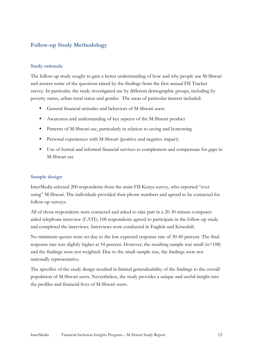## **Follow-up Study Methodology**

#### **Study rationale**

The follow-up study sought to gain a better understanding of how and why people use M-Shwari and answer some of the questions raised by the findings from the first annual FII Tracker survey. In particular, the study investigated use by different demographic groups, including by poverty status, urban-rural status and gender. The areas of particular interest included:

- General financial attitudes and behaviors of M-Shwari users
- Awareness and understanding of key aspects of the M-Shwari product
- Patterns of M-Shwari use, particularly in relation to saving and borrowing
- Personal experiences with M-Shwari (positive and negative impact)
- Use of formal and informal financial services to complement and compensate for gaps in M-Shwari use

#### **Sample design**

InterMedia selected 200 respondents from the main FII Kenya survey, who reported "ever using" M-Shwari. The individuals provided their phone numbers and agreed to be contacted for follow-up surveys.

All of those respondents were contacted and asked to take part in a 20-30 minute computeraided telephone interview (CATI); 108 respondents agreed to participate in the follow-up study and completed the interviews. Interviews were conducted in English and Kiswahili.

No minimum quotas were set due to the low expected response rate of 30-40 percent. The final response rate was slightly higher at 54 percent. However, the resulting sample was small  $(n=108)$ and the findings were not weighted. Due to the small sample size, the findings were not nationally representative.

<span id="page-11-0"></span>The specifics of the study design resulted in limited generalizability of the findings to the overall population of M-Shwari users. Nevertheless, the study provides a unique and useful insight into the profiles and financial lives of M-Shwari users.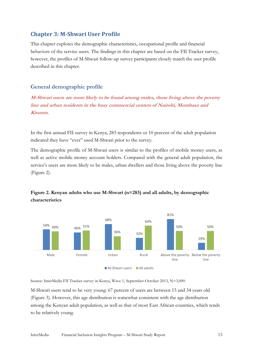## **Chapter 3: M-Shwari User Profile**

This chapter explores the demographic characteristics, occupational profile and financial behaviors of the service users. The findings in this chapter are based on the FII Tracker survey, however, the profiles of M-Shwari follow-up survey participants closely match the user profile described in this chapter.

## **General demographic profile**

**M-Shwari users are more likely to be found among males, those living above the poverty line and urban residents in the busy commercial centers of Nairobi, Mombasa and Kisumu.**

In the first annual FII survey in Kenya, 283 respondents or 10 percent of the adult population indicated they have "ever" used M-Shwari prior to the survey.

The demographic profile of M-Shwari users is similar to the profiles of mobile money users, as well as active mobile money account holders. Compared with the general adult population, the service's users are more likely to be males, urban dwellers and those living above the poverty line (Figure 2).



## **Figure 2. Kenyan adults who use M-Shwari (n=283) and all adults, by demographic characteristics**

Source: InterMedia FII Tracker survey in Kenya, Wave 1, September-October 2013, N=3,000.

M-Shwari users tend to be very young: 67 percent of users are between 15 and 34 years old (Figure 3). However, this age distribution is somewhat consistent with the age distribution among the Kenyan adult population, as well as that of most East African countries, which tends to be relatively young.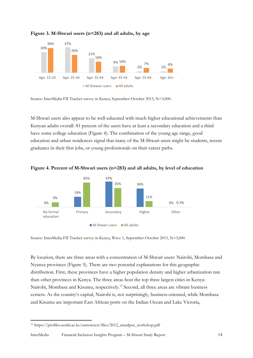

**Figure 3. M-Shwari users (n=283) and all adults, by age**

Source: InterMedia FII Tracker survey in Kenya, September-October 2013, N=3,000.

M-Shwari users also appear to be well-educated with much higher educational achievements than Kenyan adults overall: 81 percent of the users have at least a secondary education and a third have some college education (Figure 4). The combination of the young age range, good education and urban residences signal that many of the M-Shwari users might be students, recent graduates in their first jobs, or young professionals on their career paths.



#### **Figure 4. Percent of M-Shwari users (n=283) and all adults, by level of education**

Source: InterMedia FII Tracker survey in Kenya, Wave 1, September-October 2013, N=3,000.

By location, there are three areas with a concentration of M-Shwari users: Nairobi, Mombasa and Nyanza provinces (Figure 5). There are two potential explanations for this geographic distribution. First, these provinces have a higher population density and higher urbanization rate than other provinces in Kenya. The three areas host the top three largest cities in Kenya: Nairobi, Mombasa and Kisumu, respectively.<sup>13</sup> Second, all three areas are vibrant business centers. As the country's capital, Nairobi is, not surprisingly, business-oriented, while Mombasa and Kisumu are important East African ports on the Indian Ocean and Lake Victoria,

<sup>1</sup> <sup>13</sup> https://profiles.uonbi.ac.ke/samowuor/files/2012\_amadpoc\_workshop.pdf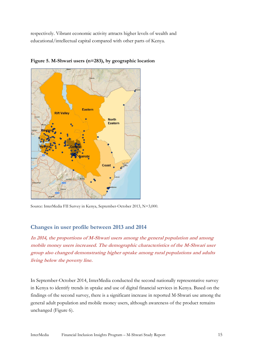respectively. Vibrant economic activity attracts higher levels of wealth and educational/intellectual capital compared with other parts of Kenya.



**Figure 5. M-Shwari users (n=283), by geographic location**

Source: InterMedia FII Survey in Kenya, September-October 2013, N=3,000.

#### **Changes in user profile between 2013 and 2014**

**In 2014, the proportions of M-Shwari users among the general population and among mobile money users increased. The demographic characteristics of the M-Shwari user group also changed demonstrating higher uptake among rural populations and adults living below the poverty line.**

In September-October 2014, InterMedia conducted the second nationally representative survey in Kenya to identify trends in uptake and use of digital financial services in Kenya. Based on the findings of the second survey, there is a significant increase in reported M-Shwari use among the general adult population and mobile money users, although awareness of the product remains unchanged (Figure 6).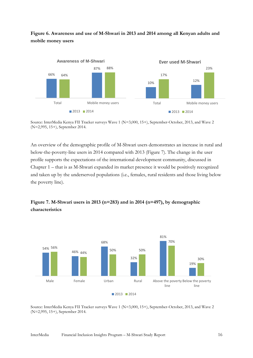## **Figure 6. Awareness and use of M-Shwari in 2013 and 2014 among all Kenyan adults and mobile money users**



Source: InterMedia Kenya FII Tracker surveys Wave 1 (N=3,000, 15+), September-October, 2013, and Wave 2 (N=2,995, 15+), September 2014.

An overview of the demographic profile of M-Shwari users demonstrates an increase in rural and below-the-poverty-line users in 2014 compared with 2013 (Figure 7). The change in the user profile supports the expectations of the international development community, discussed in Chapter 1 – that is as M-Shwari expanded its market presence it would be positively recognized and taken up by the underserved populations (i.e., females, rural residents and those living below the poverty line).

## **Figure 7. M-Shwari users in 2013 (n=283) and in 2014 (n=497), by demographic characteristics**



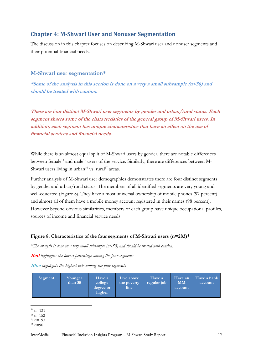## <span id="page-16-0"></span>**Chapter 4: M-Shwari User and Nonuser Segmentation**

The discussion in this chapter focuses on describing M-Shwari user and nonuser segments and their potential financial needs.

#### **M-Shwari user segmentation\***

**\*Some of the analysis in this section is done on a very a small subsample (n<50) and should be treated with caution.**

**There are four distinct M-Shwari user segments by gender and urban/rural status. Each segment shares some of the characteristics of the general group of M-Shwari users. In addition, each segment has unique characteristics that have an effect on the use of financial services and financial needs.** 

While there is an almost equal split of M-Shwari users by gender, there are notable differences between female<sup>14</sup> and male<sup>15</sup> users of the service. Similarly, there are differences between M-Shwari users living in urban<sup>16</sup> vs. rural<sup>17</sup> areas.

Further analysis of M-Shwari user demographics demonstrates there are four distinct segments by gender and urban/rural status. The members of all identified segments are very young and well-educated (Figure 8). They have almost universal ownership of mobile phones (97 percent) and almost all of them have a mobile money account registered in their names (98 percent). However beyond obvious similarities, members of each group have unique occupational profiles, sources of income and financial service needs.

#### **Figure 8. Characteristics of the four segments of M-Shwari users (n=283)\***

*\*The analysis is done on a very small subsample (n<50) and should be treated with caution.*

**Red** *highlights the lowest percentage among the four segments*

**Blue** *highlights the highest rate among the four segments*

| Segment | Younger<br>than $35$ | Have a<br>college<br>degree or<br>higher | Live above<br>the poverty<br>line | Have a<br>regular job | Have an<br><b>MM</b><br>account | Have a bank<br>account |
|---------|----------------------|------------------------------------------|-----------------------------------|-----------------------|---------------------------------|------------------------|
|---------|----------------------|------------------------------------------|-----------------------------------|-----------------------|---------------------------------|------------------------|

**.**  $14 n=131$ 

 $15 n=152$  $16$  n=193

 $17 n=90$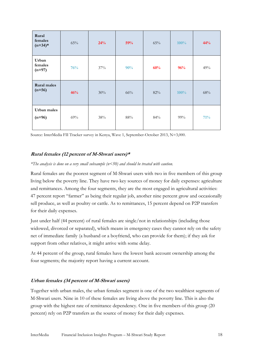| Rural<br>females<br>$(n=34)*$  | 65% | 24% | 59% | 65% | 100% | 44%    |
|--------------------------------|-----|-----|-----|-----|------|--------|
| Urban<br>females<br>$(n=97)$   | 76% | 37% | 90% | 60% | 96%  | 49%    |
| <b>Rural</b> males<br>$(n=56)$ | 46% | 30% | 66% | 82% | 100% | $68\%$ |
| Urban males<br>$(n=96)$        | 69% | 38% | 88% | 84% | 99%  | 71%    |

Source: InterMedia FII Tracker survey in Kenya, Wave 1, September-October 2013, N=3,000.

#### **Rural females (12 percent of M-Shwari users)\***

#### *\*The analysis is done on a very small subsample (n<50) and should be treated with caution.*

Rural females are the poorest segment of M-Shwari users with two in five members of this group living below the poverty line. They have two key sources of money for daily expenses: agriculture and remittances. Among the four segments, they are the most engaged in agricultural activities: 47 percent report "farmer" as being their regular job, another nine percent grow and occasionally sell produce, as well as poultry or cattle. As to remittances, 15 percent depend on P2P transfers for their daily expenses.

Just under half (44 percent) of rural females are single/not in relationships (including those widowed, divorced or separated), which means in emergency cases they cannot rely on the safety net of immediate family (a husband or a boyfriend, who can provide for them); if they ask for support from other relatives, it might arrive with some delay.

At 44 percent of the group, rural females have the lowest bank account ownership among the four segments; the majority report having a current account.

#### **Urban females (34 percent of M-Shwari users)**

Together with urban males, the urban females segment is one of the two wealthiest segments of M-Shwari users. Nine in 10 of these females are living above the poverty line. This is also the group with the highest rate of remittance dependency. One in five members of this group (20 percent) rely on P2P transfers as the source of money for their daily expenses.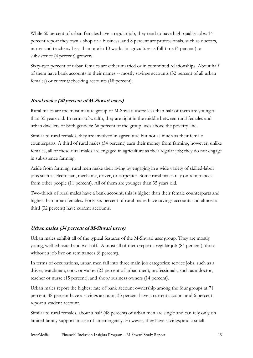While 60 percent of urban females have a regular job, they tend to have high-quality jobs: 14 percent report they own a shop or a business, and 8 percent are professionals, such as doctors, nurses and teachers. Less than one in 10 works in agriculture as full-time (4 percent) or subsistence (4 percent) growers.

Sixty-two percent of urban females are either married or in committed relationships. About half of them have bank accounts in their names -- mostly savings accounts (32 percent of all urban females) or current/checking accounts (18 percent).

#### **Rural males (20 percent of M-Shwari users)**

Rural males are the most mature group of M-Shwari users: less than half of them are younger than 35 years old. In terms of wealth, they are right in the middle between rural females and urban dwellers of both genders: 66 percent of the group lives above the poverty line.

Similar to rural females, they are involved in agriculture but not as much as their female counterparts. A third of rural males (34 percent) earn their money from farming, however, unlike females, all of these rural males are engaged in agriculture as their regular job; they do not engage in subsistence farming.

Aside from farming, rural men make their living by engaging in a wide variety of skilled-labor jobs such as electrician, mechanic, driver, or carpenter. Some rural males rely on remittances from other people (11 percent). All of them are younger than 35 years old.

Two-thirds of rural males have a bank account; this is higher than their female counterparts and higher than urban females. Forty-six percent of rural males have savings accounts and almost a third (32 percent) have current accounts.

#### **Urban males (34 percent of M-Shwari users)**

Urban males exhibit all of the typical features of the M-Shwari user group. They are mostly young, well-educated and well-off. Almost all of them report a regular job (84 percent); those without a job live on remittances (8 percent).

In terms of occupations, urban men fall into three main job categories: service jobs, such as a driver, watchman, cook or waiter (23 percent of urban men); professionals, such as a doctor, teacher or nurse (15 percent); and shop/business owners (14 percent).

Urban males report the highest rate of bank account ownership among the four groups at 71 percent: 48 percent have a savings account, 33 percent have a current account and 6 percent report a student account.

Similar to rural females, about a half (48 percent) of urban men are single and can rely only on limited family support in case of an emergency. However, they have savings; and a small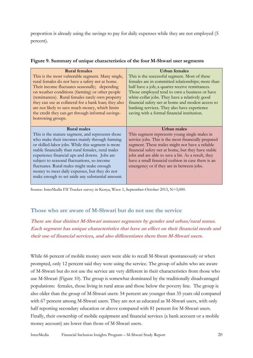proportion is already using the savings to pay for daily expenses while they are not employed (5 percent).

|  | Figure 9. Summary of unique characteristics of the four M-Shwari user segments |  |  |
|--|--------------------------------------------------------------------------------|--|--|
|  |                                                                                |  |  |

| <b>Rural females</b>                                                                              | Urban females                                       |
|---------------------------------------------------------------------------------------------------|-----------------------------------------------------|
| This is the most vulnerable segment. Many single,                                                 | This is the successful segment. Most of these       |
|                                                                                                   |                                                     |
| rural females do not have a safety net at home.                                                   | females are in committed relationships; more than   |
| Their income fluctuates seasonally; depending                                                     | half have a job; a quarter receive remittances.     |
| on weather conditions (farming) or other people                                                   | Those employed tend to own a business or have       |
| (remittances). Rural females rarely own property                                                  | white-collar jobs. They have a relatively good      |
| they can use as collateral for a bank loan; they also                                             | financial safety net at home and modest access to   |
| are not likely to save much money, which limits                                                   | banking services. They also have experience         |
|                                                                                                   |                                                     |
| the credit they can get through informal savings-                                                 | saving with a formal financial institution.         |
| borrowing groups.                                                                                 |                                                     |
|                                                                                                   |                                                     |
|                                                                                                   |                                                     |
| <b>Rural males</b>                                                                                | <b>Urban</b> males                                  |
| This is the mature segment, and represents those                                                  | This segment represents young single males in       |
|                                                                                                   |                                                     |
| who make their incomes mainly through farming                                                     | service jobs. This is the most financially prepared |
| or skilled-labor jobs. While this segment is more                                                 | segment. These males might not have a reliable      |
| stable financially than rural females, rural males                                                | financial safety net at home, but they have stable  |
| experience financial ups and downs. Jobs are                                                      | jobs and are able to save a bit. As a result, they  |
| subject to seasonal fluctuations, so income                                                       | have a small financial cushion in case there is an  |
| fluctuates. Rural males might make enough                                                         | emergency or if they are in between jobs.           |
|                                                                                                   |                                                     |
| money to meet daily expenses, but they do not<br>make enough to set aside any substantial amount. |                                                     |

Source: InterMedia FII Tracker survey in Kenya, Wave 1, September-October 2013, N=3,000.

## **Those who are aware of M-Shwari but do not use the service**

## **There are four distinct M-Shwari nonuser segments by gender and urban/rural status. Each segment has unique characteristics that have an effect on their financial needs and their use of financial services, and also differentiates them from M-Shwari users.**

While 66 percent of mobile money users were able to recall M-Shwari spontaneously or when prompted, only 12 percent said they were using the service. The group of adults who are aware of M-Shwari but do not use the service are very different in their characteristics from those who use M-Shwari (Figure 10). The group is somewhat dominated by the traditionally disadvantaged populations: females, those living in rural areas and those below the poverty line. The group is also older than the group of M-Shwari users: 54 percent are younger than 35 years old compared with 67 percent among M-Shwari users. They are not as educated as M-Shwari users, with only half reporting secondary education or above compared with 81 percent for M-Shwari users. Finally, their ownership of mobile equipment and financial services (a bank account or a mobile money account) are lower than those of M-Shwari users.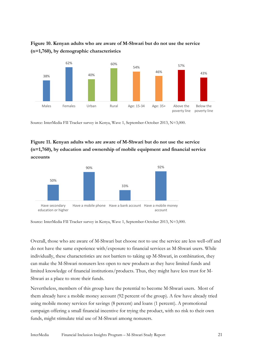



Source: InterMedia FII Tracker survey in Kenya, Wave 1, September-October 2013, N=3,000.

## **Figure 11. Kenyan adults who are aware of M-Shwari but do not use the service (n=1,760), by education and ownership of mobile equipment and financial service accounts**



Source: InterMedia FII Tracker survey in Kenya, Wave 1, September-October 2013, N=3,000.

Overall, those who are aware of M-Shwari but choose not to use the service are less well-off and do not have the same experience with/exposure to financial services as M-Shwari users. While individually, these characteristics are not barriers to taking up M-Shwari, in combination, they can make the M-Shwari nonusers less open to new products as they have limited funds and limited knowledge of financial institutions/products. Thus, they might have less trust for M-Shwari as a place to store their funds.

Nevertheless, members of this group have the potential to become M-Shwari users. Most of them already have a mobile money account (92 percent of the group). A few have already tried using mobile money services for savings (8 percent) and loans (1 percent). A promotional campaign offering a small financial incentive for trying the product, with no risk to their own funds, might stimulate trial use of M-Shwari among nonusers.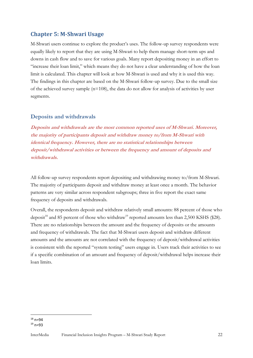## <span id="page-21-0"></span>**Chapter 5: M-Shwari Usage**

M-Shwari users continue to explore the product's uses. The follow-up survey respondents were equally likely to report that they are using M-Shwari to help them manage short-term ups and downs in cash flow and to save for various goals. Many report depositing money in an effort to "increase their loan limit," which means they do not have a clear understanding of how the loan limit is calculated. This chapter will look at how M-Shwari is used and why it is used this way. The findings in this chapter are based on the M-Shwari follow-up survey. Due to the small size of the achieved survey sample ( $n=108$ ), the data do not allow for analysis of activities by user segments.

#### **Deposits and withdrawals**

**Deposits and withdrawals are the most common reported uses of M-Shwari. Moreover, the majority of participants deposit and withdraw money to/from M-Shwari with identical frequency. However, there are no statistical relationships between deposit/withdrawal activities or between the frequency and amount of deposits and withdrawals.**

All follow-up survey respondents report depositing and withdrawing money to/from M-Shwari. The majority of participants deposit and withdraw money at least once a month. The behavior patterns are very similar across respondent subgroups; three in five report the exact same frequency of deposits and withdrawals.

Overall, the respondents deposit and withdraw relatively small amounts: 88 percent of those who deposit<sup>18</sup> and 85 percent of those who withdraw<sup>19</sup> reported amounts less than 2,500 KSHS (\$28). There are no relationships between the amount and the frequency of deposits or the amounts and frequency of withdrawals. The fact that M-Shwari users deposit and withdraw different amounts and the amounts are not correlated with the frequency of deposit/withdrawal activities is consistent with the reported "system testing" users engage in. Users track their activities to see if a specific combination of an amount and frequency of deposit/withdrawal helps increase their loan limits.

<sup>1</sup>  $18 n=94$  $19 n=93$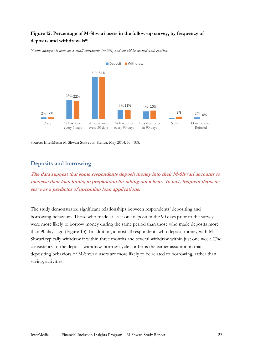### **Figure 12. Percentage of M-Shwari users in the follow-up survey, by frequency of deposits and withdrawals\***



*\*Some analysis is done on a small subsample (n<50) and should be treated with caution.*

Source: InterMedia M-Shwari Survey in Kenya, May 2014, N=108.

#### **Deposits and borrowing**

**The data suggest that some respondents deposit money into their M-Shwari accounts to increase their loan limits, in preparation for taking out a loan. In fact, frequent deposits serve as a predictor of upcoming loan applications.**

The study demonstrated significant relationships between respondents' depositing and borrowing behaviors. Those who made at least one deposit in the 90 days prior to the survey were more likely to borrow money during the same period than those who made deposits more than 90 days ago (Figure 13). In addition, almost all respondents who deposit money with M-Shwari typically withdraw it within three months and several withdraw within just one week. The consistency of the deposit-withdraw-borrow cycle confirms the earlier assumption that depositing behaviors of M-Shwari users are more likely to be related to borrowing, rather than saving, activities.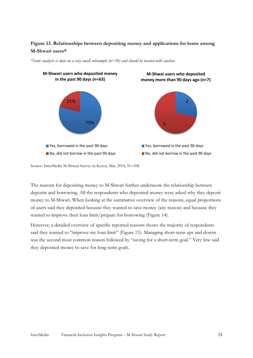## **Figure 13. Relationships between depositing money and applications for loans among M-Shwari users\***



*\*Some analysis is done on a very small subsample (n<50) and should be treated with caution.*

Source: InterMedia M-Shwari Survey in Kenya, May 2014, N=108.

The reasons for depositing money to M-Shwari further underscore the relationship between deposits and borrowing. All the respondents who deposited money were asked why they deposit money to M-Shwari. When looking at the summative overview of the reasons, equal proportions of users said they deposited because they wanted to save money (any reason) and because they wanted to improve their loan limit/prepare for borrowing (Figure 14).

However, a detailed overview of specific reported reasons shows the majority of respondents said they wanted to "improve my loan limit" (Figure 15). Managing short-term ups and downs was the second most common reason followed by "saving for a short-term goal." Very few said they deposited money to save for long-term goals.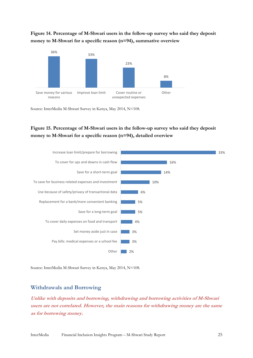## **Figure 14. Percentage of M-Shwari users in the follow-up survey who said they deposit money to M-Shwari for a specific reason (n=94), summative overview**



Source: InterMedia M-Shwari Survey in Kenya, May 2014, N=108.

## **Figure 15. Percentage of M-Shwari users in the follow-up survey who said they deposit money to M-Shwari for a specific reason (n=94), detailed overview**



Source: InterMedia M-Shwari Survey in Kenya, May 2014, N=108.

#### **Withdrawals and Borrowing**

**Unlike with deposits and borrowing, withdrawing and borrowing activities of M-Shwari users are not correlated. However, the main reasons for withdrawing money are the same as for borrowing money.**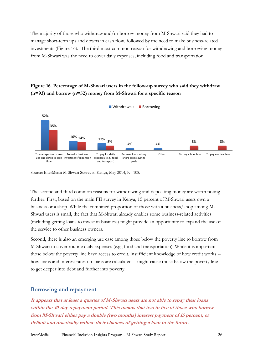The majority of those who withdraw and/or borrow money from M-Shwari said they had to manage short-term ups and downs in cash flow, followed by the need to make business-related investments (Figure 16). The third most common reason for withdrawing and borrowing money from M-Shwari was the need to cover daily expenses, including food and transportation.

## **Figure 16. Percentage of M-Shwari users in the follow-up survey who said they withdraw (n=93) and borrow (n=52) money from M-Shwari for a specific reason**



Source: InterMedia M-Shwari Survey in Kenya, May 2014, N=108.

The second and third common reasons for withdrawing and depositing money are worth noting further. First, based on the main FII survey in Kenya, 15 percent of M-Shwari users own a business or a shop. While the combined proportion of those with a business/shop among M-Shwari users is small, the fact that M-Shwari already enables some business-related activities (including getting loans to invest in business) might provide an opportunity to expand the use of the service to other business owners.

Second, there is also an emerging use case among those below the poverty line to borrow from M-Shwari to cover routine daily expenses (e.g., food and transportation). While it is important those below the poverty line have access to credit, insufficient knowledge of how credit works - how loans and interest rates on loans are calculated -- might cause those below the poverty line to get deeper into debt and further into poverty.

#### **Borrowing and repayment**

**It appears that at least a quarter of M-Shwari users are not able to repay their loans within the 30-day repayment period. This means that two in five of those who borrow from M-Shwari either pay a double (two months) interest payment of 15 percent, or default and drastically reduce their chances of getting a loan in the future.**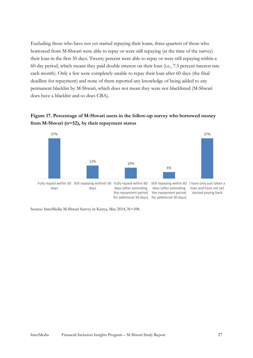Excluding those who have not yet started repaying their loans, three quarters of those who borrowed from M-Shwari were able to repay or were still repaying (at the time of the survey) their loan in the first 30 days. Twenty percent were able to repay or were still repaying within a 60-day period, which means they paid double interest on their loan (i.e., 7.5 percent interest rate each month). Only a few were completely unable to repay their loan after 60 days (the final deadline for repayment) and none of them reported any knowledge of being added to any permanent blacklist by M-Shwari, which does not mean they were not blacklisted (M-Shwari does have a blacklist and so does CBA).

#### **Figure 17. Percentage of M-Shwari users in the follow-up survey who borrowed money from M-Shwari (n=52), by their repayment status**



Source: InterMedia M-Shwari Survey in Kenya, May 2014, N=108.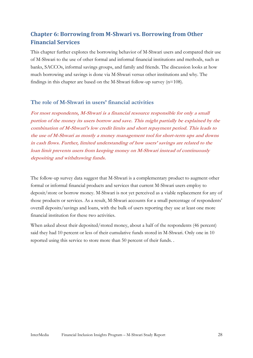## <span id="page-27-0"></span>**Chapter 6: Borrowing from M-Shwari vs. Borrowing from Other Financial Services**

This chapter further explores the borrowing behavior of M-Shwari users and compared their use of M-Shwari to the use of other formal and informal financial institutions and methods, such as banks, SACCOs, informal savings groups, and family and friends. The discussion looks at how much borrowing and savings is done via M-Shwari versus other institutions and why. The findings in this chapter are based on the M-Shwari follow-up survey (n=108).

## **The role of M-Shwari in users' financial activities**

**For most respondents, M-Shwari is a financial resource responsible for only a small portion of the money its users borrow and save. This might partially be explained by the combination of M-Shwari's low credit limits and short repayment period. This leads to the use of M-Shwari as mostly a money management tool for short-term ups and downs in cash flows. Further, limited understanding of how users' savings are related to the loan limit prevents users from keeping money on M-Shwari instead of continuously depositing and withdrawing funds.**

The follow-up survey data suggest that M-Shwari is a complementary product to augment other formal or informal financial products and services that current M-Shwari users employ to deposit/store or borrow money. M-Shwari is not yet perceived as a viable replacement for any of those products or services. As a result, M-Shwari accounts for a small percentage of respondents' overall deposits/savings and loans, with the bulk of users reporting they use at least one more financial institution for these two activities.

When asked about their deposited/stored money, about a half of the respondents (46 percent) said they had 10 percent or less of their cumulative funds stored in M-Shwari. Only one in 10 reported using this service to store more than 50 percent of their funds. .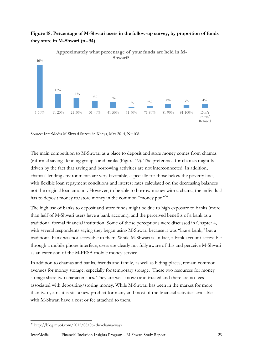

## **Figure 18. Percentage of M-Shwari users in the follow-up survey, by proportion of funds they store in M-Shwari (n=94).**

Source: InterMedia M-Shwari Survey in Kenya, May 2014, N=108.

The main competition to M-Shwari as a place to deposit and store money comes from chamas (informal savings-lending groups) and banks (Figure 19). The preference for chamas might be driven by the fact that saving and borrowing activities are not interconnected. In addition, chamas' lending environments are very favorable, especially for those below the poverty line, with flexible loan repayment conditions and interest rates calculated on the decreasing balances not the original loan amount. However, to be able to borrow money with a chama, the individual has to deposit money to/store money in the common "money pot."<sup>20</sup>

The high use of banks to deposit and store funds might be due to high exposure to banks (more than half of M-Shwari users have a bank account), and the perceived benefits of a bank as a traditional formal financial institution. Some of those perceptions were discussed in Chapter 4, with several respondents saying they began using M-Shwari because it was "like a bank," but a traditional bank was not accessible to them. While M-Shwari is, in fact, a bank account accessible through a mobile phone interface, users are clearly not fully aware of this and perceive M-Shwari as an extension of the M-PESA mobile money service.

In addition to chamas and banks, friends and family, as well as hiding places, remain common avenues for money storage, especially for temporary storage. These two resources for money storage share two characteristics. They are well-known and trusted and there are no fees associated with depositing/storing money. While M-Shwari has been in the market for more than two years, it is still a new product for many and most of the financial activities available with M-Shwari have a cost or fee attached to them.

1

<sup>20</sup> http://blog.myc4.com/2012/08/06/the-chama-way/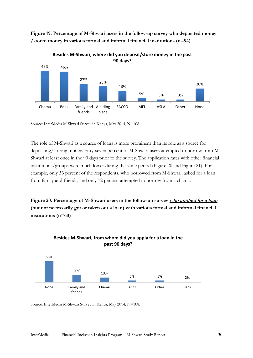

**Figure 19. Percentage of M-Shwari users in the follow-up survey who deposited money /stored money in various formal and informal financial institutions (n=94)**

Source: InterMedia M-Shwari Survey in Kenya, May 2014, N=108.

The role of M-Shwari as a source of loans is more prominent than its role as a source for depositing/storing money. Fifty-seven percent of M-Shwari users attempted to borrow from M-Shwari at least once in the 90 days prior to the survey. The application rates with other financial institutions/groups were much lower during the same period (Figure 20 and Figure 21). For example, only 33 percent of the respondents, who borrowed from M-Shwari, asked for a loan from family and friends, and only 12 percent attempted to borrow from a chama.

**Figure 20. Percentage of M-Shwari users in the follow-up survey who applied for a loan (but not necessarily got or taken out a loan) with various formal and informal financial institutions (n=60)**



#### **Besides M-Shwari, from whom did you apply for a loan in the past 90 days?**

Source: InterMedia M-Shwari Survey in Kenya, May 2014, N=108.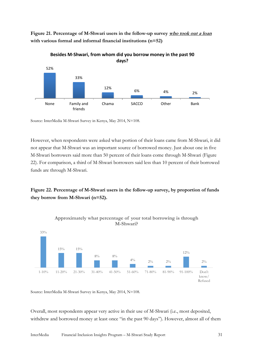**Figure 21. Percentage of M-Shwari users in the follow-up survey who took out a loan with various formal and informal financial institutions (n=52)**





Source: InterMedia M-Shwari Survey in Kenya, May 2014, N=108.

However, when respondents were asked what portion of their loans came from M-Shwari, it did not appear that M-Shwari was an important source of borrowed money. Just about one in five M-Shwari borrowers said more than 50 percent of their loans come through M-Shwari (Figure 22). For comparison, a third of M-Shwari borrowers said less than 10 percent of their borrowed funds are through M-Shwari.

**Figure 22. Percentage of M-Shwari users in the follow-up survey, by proportion of funds they borrow from M-Shwari (n=52).** 



Source: InterMedia M-Shwari Survey in Kenya, May 2014, N=108.

Overall, most respondents appear very active in their use of M-Shwari (i.e., most deposited, withdrew and borrowed money at least once "in the past 90 days"). However, almost all of them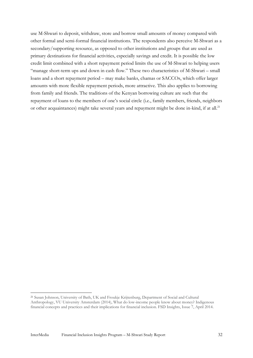use M-Shwari to deposit, withdraw, store and borrow small amounts of money compared with other formal and semi-formal financial institutions. The respondents also perceive M-Shwari as a secondary/supporting resource, as opposed to other institutions and groups that are used as primary destinations for financial activities, especially savings and credit. It is possible the low credit limit combined with a short repayment period limits the use of M-Shwari to helping users "manage short-term ups and down in cash flow." These two characteristics of M-Shwari – small loans and a short repayment period – may make banks, chamas or SACCOs, which offer larger amounts with more flexible repayment periods, more attractive. This also applies to borrowing from family and friends. The traditions of the Kenyan borrowing culture are such that the repayment of loans to the members of one's social circle (i.e., family members, friends, neighbors or other acquaintances) might take several years and repayment might be done in-kind, if at all.<sup>21</sup>

**.** 

<sup>21</sup> Susan Johnson, University of Bath, UK and Froukje Krijtenburg, Department of Social and Cultural Anthropology, VU University Amsterdam (2014), What do low-income people know about money? Indigenous financial concepts and practices and their implications for financial inclusion. FSD Insights, Issue 7, April 2014.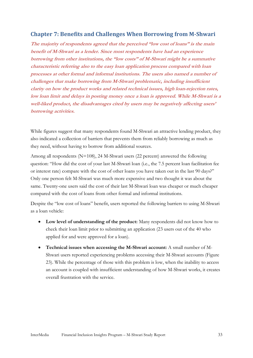## <span id="page-32-0"></span>**Chapter 7: Benefits and Challenges When Borrowing from M-Shwari**

**The majority of respondents agreed that the perceived "low cost of loans" is the main benefit of M-Shwari as a lender. Since most respondents have had an experience borrowing from other institutions, the "low costs" of M-Shwari might be a summative characteristic referring also to the easy loan application process compared with loan processes at other formal and informal institutions. The users also named a number of challenges that make borrowing from M-Shwari problematic, including insufficient clarity on how the product works and related technical issues, high loan-rejection rates, low loan limit and delays in posting money once a loan is approved. While M-Shwari is a well-liked product, the disadvantages cited by users may be negatively affecting users' borrowing activities.**

While figures suggest that many respondents found M-Shwari an attractive lending product, they also indicated a collection of barriers that prevents them from reliably borrowing as much as they need, without having to borrow from additional sources.

Among all respondents (N=108), 24 M-Shwari users (22 percent) answered the following question: "How did the cost of your last M-Shwari loan (i.e., the 7.5 percent loan facilitation fee or interest rate) compare with the cost of other loans you have taken out in the last 90 days?" Only one person felt M-Shwari was much more expensive and two thought it was about the same. Twenty-one users said the cost of their last M-Shwari loan was cheaper or much cheaper compared with the cost of loans from other formal and informal institutions.

Despite the "low cost of loans" benefit, users reported the following barriers to using M-Shwari as a loan vehicle:

- **Low level of understanding of the product:** Many respondents did not know how to check their loan limit prior to submitting an application (23 users out of the 40 who applied for and were approved for a loan).
- **Technical issues when accessing the M-Shwari account:** A small number of M-Shwari users reported experiencing problems accessing their M-Shwari accounts (Figure 23). While the percentage of those with this problem is low, when the inability to access an account is coupled with insufficient understanding of how M-Shwari works, it creates overall frustration with the service.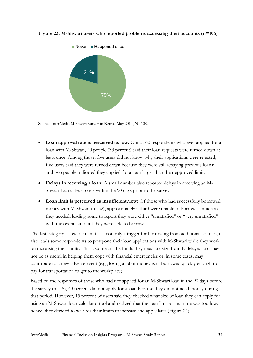

**Figure 23. M-Shwari users who reported problems accessing their accounts (n=106)**

Source: InterMedia M-Shwari Survey in Kenya, May 2014, N=108.

- Loan approval rate is perceived as low: Out of 60 respondents who ever applied for a loan with M-Shwari, 20 people (33 percent) said their loan requests were turned down at least once. Among those, five users did not know why their applications were rejected; five users said they were turned down because they were still repaying previous loans; and two people indicated they applied for a loan larger than their approved limit.
- **Delays in receiving a loan:** A small number also reported delays in receiving an M-Shwari loan at least once within the 90 days prior to the survey.
- Loan limit is perceived as insufficient/low: Of those who had successfully borrowed money with M-Shwari (n=52), approximately a third were unable to borrow as much as they needed, leading some to report they were either ''unsatisfied'' or ''very unsatisfied'' with the overall amount they were able to borrow.

The last category – low loan limit – is not only a trigger for borrowing from additional sources, it also leads some respondents to postpone their loan applications with M-Shwari while they work on increasing their limits. This also means the funds they need are significantly delayed and may not be as useful in helping them cope with financial emergencies or, in some cases, may contribute to a new adverse event (e.g., losing a job if money isn't borrowed quickly enough to pay for transportation to get to the workplace).

Based on the responses of those who had not applied for an M-Shwari loan in the 90 days before the survey (n=45), 40 percent did not apply for a loan because they did not need money during that period. However, 13 percent of users said they checked what size of loan they can apply for using an M-Shwari loan-calculator tool and realized that the loan limit at that time was too low; hence, they decided to wait for their limits to increase and apply later (Figure 24).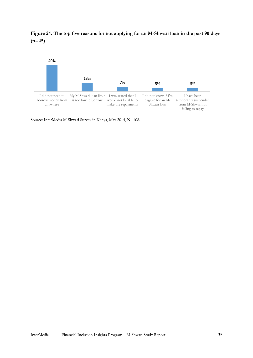**Figure 24. The top five reasons for not applying for an M-Shwari loan in the past 90 days (n=45)**



Source: InterMedia M-Shwari Survey in Kenya, May 2014, N=108.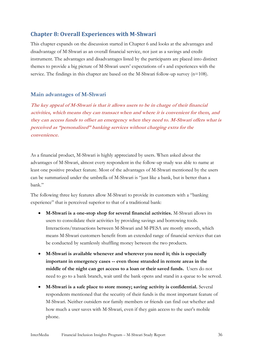## <span id="page-35-0"></span>**Chapter 8: Overall Experiences with M-Shwari**

This chapter expands on the discussion started in Chapter 6 and looks at the advantages and disadvantage of M-Shwari as an overall financial service, not just as a savings and credit instrument. The advantages and disadvantages listed by the participants are placed into distinct themes to provide a big picture of M-Shwari users' expectations of s and experiences with the service. The findings in this chapter are based on the M-Shwari follow-up survey  $(n=108)$ .

#### **Main advantages of M-Shwari**

**The key appeal of M-Shwari is that it allows users to be in charge of their financial activities, which means they can transact when and where it is convenient for them, and they can access funds to offset an emergency when they need to. M-Shwari offers what is perceived as "personalized" banking services without charging extra for the convenience.**

As a financial product, M-Shwari is highly appreciated by users. When asked about the advantages of M-Shwari, almost every respondent in the follow-up study was able to name at least one positive product feature. Most of the advantages of M-Shwari mentioned by the users can be summarized under the umbrella of M-Shwari is "just like a bank, but is better than a bank."

The following three key features allow M-Shwari to provide its customers with a "banking experience" that is perceived superior to that of a traditional bank:

- **M-Shwari is a one-stop shop for several financial activities.** M-Shwari allows its users to consolidate their activities by providing savings and borrowing tools. Interactions/transactions between M-Shwari and M-PESA are mostly smooth, which means M-Shwari customers benefit from an extended range of financial services that can be conducted by seamlessly shuffling money between the two products.
- **M-Shwari is available whenever and wherever you need it; this is especially important in emergency cases -- even those stranded in remote areas in the middle of the night can get access to a loan or their saved funds.** Users do not need to go to a bank branch, wait until the bank opens and stand in a queue to be served.
- **M-Shwari is a safe place to store money; saving activity is confidential.** Several respondents mentioned that the security of their funds is the most important feature of M-Shwari. Neither outsiders nor family members or friends can find out whether and how much a user saves with M-Shwari, even if they gain access to the user's mobile phone.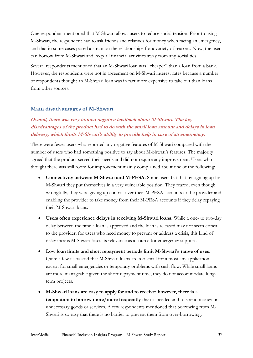One respondent mentioned that M-Shwari allows users to reduce social tension. Prior to using M-Shwari, the respondent had to ask friends and relatives for money when facing an emergency, and that in some cases posed a strain on the relationships for a variety of reasons. Now, the user can borrow from M-Shwari and keep all financial activities away from any social ties.

Several respondents mentioned that an M-Shwari loan was "cheaper" than a loan from a bank. However, the respondents were not in agreement on M-Shwari interest rates because a number of respondents thought an M-Shwari loan was in fact more expensive to take out than loans from other sources.

#### **Main disadvantages of M-Shwari**

## **Overall, there was very limited negative feedback about M-Shwari. The key disadvantages of the product had to do with the small loan amount and delays in loan delivery, which limits M-Shwari's ability to provide help in case of an emergency.**

There were fewer users who reported any negative features of M-Shwari compared with the number of users who had something positive to say about M-Shwari's features. The majority agreed that the product served their needs and did not require any improvement. Users who thought there was still room for improvement mainly complained about one of the following:

- **Connectivity between M-Shwari and M-PESA.** Some users felt that by signing up for M-Shwari they put themselves in a very vulnerable position. They feared, even though wrongfully, they were giving up control over their M-PESA accounts to the provider and enabling the provider to take money from their M-PESA accounts if they delay repaying their M-Shwari loans.
- **Users often experience delays in receiving M-Shwari loans.** While a one- to two-day delay between the time a loan is approved and the loan is released may not seem critical to the provider, for users who need money to prevent or address a crisis, this kind of delay means M-Shwari loses its relevance as a source for emergency support.
- **Low loan limits and short repayment periods limit M-Shwari's range of uses.** Quite a few users said that M-Shwari loans are too small for almost any application except for small emergencies or temporary problems with cash flow. While small loans are more manageable given the short repayment time, they do not accommodate longterm projects.
- **M-Shwari loans are easy to apply for and to receive; however, there is a temptation to borrow more/more frequently** than is needed and to spend money on unnecessary goods or services. A few respondents mentioned that borrowing from M-Shwari is so easy that there is no barrier to prevent them from over-borrowing.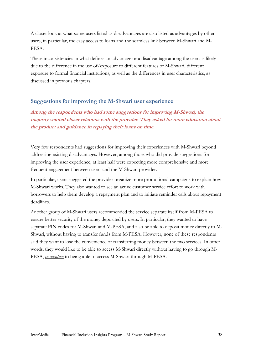A closer look at what some users listed as disadvantages are also listed as advantages by other users, in particular, the easy access to loans and the seamless link between M-Shwari and M-PESA.

These inconsistencies in what defines an advantage or a disadvantage among the users is likely due to the difference in the use of/exposure to different features of M-Shwari, different exposure to formal financial institutions, as well as the differences in user characteristics, as discussed in previous chapters.

#### **Suggestions for improving the M-Shwari user experience**

**Among the respondents who had some suggestions for improving M-Shwari, the majority wanted closer relations with the provider. They asked for more education about the product and guidance in repaying their loans on time.**

Very few respondents had suggestions for improving their experiences with M-Shwari beyond addressing existing disadvantages. However, among those who did provide suggestions for improving the user experience, at least half were expecting more comprehensive and more frequent engagement between users and the M-Shwari provider.

In particular, users suggested the provider organize more promotional campaigns to explain how M-Shwari works. They also wanted to see an active customer service effort to work with borrowers to help them develop a repayment plan and to initiate reminder calls about repayment deadlines.

Another group of M-Shwari users recommended the service separate itself from M-PESA to ensure better security of the money deposited by users. In particular, they wanted to have separate PIN codes for M-Shwari and M-PESA, and also be able to deposit money directly to M-Shwari, without having to transfer funds from M-PESA. However, none of these respondents said they want to lose the convenience of transferring money between the two services. In other words, they would like to be able to access M-Shwari directly without having to go through M-PESA, *in addition* to being able to access M-Shwari through M-PESA.